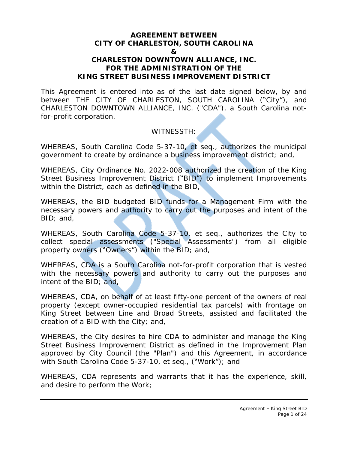## **AGREEMENT BETWEEN CITY OF CHARLESTON, SOUTH CAROLINA & CHARLESTON DOWNTOWN ALLIANCE, INC. FOR THE ADMINISTRATION OF THE KING STREET BUSINESS IMPROVEMENT DISTRICT**

This Agreement is entered into as of the last date signed below, by and between THE CITY OF CHARLESTON, SOUTH CAROLINA ("City"), and CHARLESTON DOWNTOWN ALLIANCE, INC. ("CDA"), a South Carolina notfor-profit corporation.

# WITNESSTH:

WHEREAS, South Carolina Code 5-37-10, et seq., authorizes the municipal government to create by ordinance a business improvement district; and,

WHEREAS, City Ordinance No. 2022-008 authorized the creation of the King Street Business Improvement District ("BID") to implement Improvements within the District, each as defined in the BID,

WHEREAS, the BID budgeted BID funds for a Management Firm with the necessary powers and authority to carry out the purposes and intent of the BID; and,

WHEREAS, South Carolina Code 5-37-10, et seq., authorizes the City to collect special assessments ("Special Assessments") from all eligible property owners ("Owners") within the BID; and,

WHEREAS, CDA is a South Carolina not-for-profit corporation that is vested with the necessary powers and authority to carry out the purposes and intent of the BID; and,

WHEREAS, CDA, on behalf of at least fifty-one percent of the owners of real property (except owner-occupied residential tax parcels) with frontage on King Street between Line and Broad Streets, assisted and facilitated the creation of a BID with the City; and,

WHEREAS, the City desires to hire CDA to administer and manage the King Street Business Improvement District as defined in the Improvement Plan approved by City Council (the "Plan") and this Agreement, in accordance with South Carolina Code 5-37-10, et seq., ("Work"); and

WHEREAS, CDA represents and warrants that it has the experience, skill, and desire to perform the Work;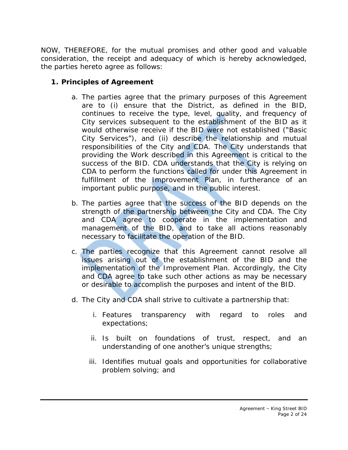NOW, THEREFORE, for the mutual promises and other good and valuable consideration, the receipt and adequacy of which is hereby acknowledged, the parties hereto agree as follows:

# **1. Principles of Agreement**

- a. The parties agree that the primary purposes of this Agreement are to (i) ensure that the District, as defined in the BID, continues to receive the type, level, quality, and frequency of City services subsequent to the establishment of the BID as it would otherwise receive if the BID were not established ("Basic City Services"), and (ii) describe the relationship and mutual responsibilities of the City and CDA. The City understands that providing the Work described in this Agreement is critical to the success of the BID. CDA understands that the City is relying on CDA to perform the functions called for under this Agreement in fulfillment of the Improvement Plan, in furtherance of an important public purpose, and in the public interest.
- b. The parties agree that the success of the BID depends on the strength of the partnership between the City and CDA. The City and CDA agree to cooperate in the implementation and management of the BID, and to take all actions reasonably necessary to facilitate the operation of the BID.
- c. The parties recognize that this Agreement cannot resolve all issues arising out of the establishment of the BID and the implementation of the Improvement Plan. Accordingly, the City and CDA agree to take such other actions as may be necessary or desirable to accomplish the purposes and intent of the BID.
- d. The City and CDA shall strive to cultivate a partnership that:
	- i. Features transparency with regard to roles and expectations;
	- ii. Is built on foundations of trust, respect, and an understanding of one another's unique strengths;
	- iii. Identifies mutual goals and opportunities for collaborative problem solving; and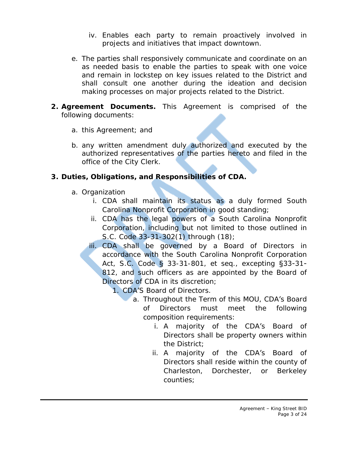- iv. Enables each party to remain proactively involved in projects and initiatives that impact downtown.
- e. The parties shall responsively communicate and coordinate on an as needed basis to enable the parties to speak with one voice and remain in lockstep on key issues related to the District and shall consult one another during the ideation and decision making processes on major projects related to the District.
- **2. Agreement Documents.** This Agreement is comprised of the following documents:
	- a. this Agreement; and
	- b. any written amendment duly authorized and executed by the authorized representatives of the parties hereto and filed in the office of the City Clerk.

# **3. Duties, Obligations, and Responsibilities of CDA.**

- a. Organization
	- i. CDA shall maintain its status as a duly formed South Carolina Nonprofit Corporation in good standing;
	- ii. CDA has the legal powers of a South Carolina Nonprofit Corporation, including but not limited to those outlined in S.C. Code 33-31-302(1) through (18);
	- iii. CDA shall be governed by a Board of Directors in accordance with the South Carolina Nonprofit Corporation Act, S.C. Code § 33-31-801, et seq., excepting §33-31- 812, and such officers as are appointed by the Board of Directors of CDA in its discretion;
		- 1. CDA'S Board of Directors.
			- a. Throughout the Term of this MOU, CDA's Board of Directors must meet the following composition requirements:
				- i. A majority of the CDA's Board of Directors shall be property owners within the District;
				- ii. A majority of the CDA's Board of Directors shall reside within the county of Charleston, Dorchester, or Berkeley counties;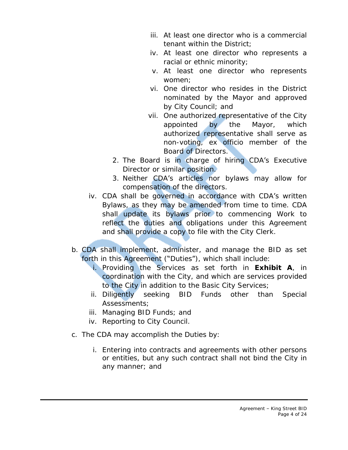- iii. At least one director who is a commercial tenant within the District;
- iv. At least one director who represents a racial or ethnic minority;
- v. At least one director who represents women;
- vi. One director who resides in the District nominated by the Mayor and approved by City Council; and
- vii. One authorized representative of the City appointed by the Mayor, which authorized representative shall serve as non-voting, ex officio member of the Board of Directors.
- 2. The Board is in charge of hiring CDA's Executive Director or similar position.
- 3. Neither CDA's articles nor bylaws may allow for compensation of the directors.
- iv. CDA shall be governed in accordance with CDA's written Bylaws, as they may be amended from time to time. CDA shall update its bylaws prior to commencing Work to reflect the duties and obligations under this Agreement and shall provide a copy to file with the City Clerk.
- b. CDA shall implement, administer, and manage the BID as set forth in this Agreement ("Duties"), which shall include:
	- i. Providing the Services as set forth in **Exhibit A**, in coordination with the City, and which are services provided to the City in addition to the Basic City Services;
	- ii. Diligently seeking BID Funds other than Special Assessments;
	- iii. Managing BID Funds; and
	- iv. Reporting to City Council.
- c. The CDA may accomplish the Duties by:
	- i. Entering into contracts and agreements with other persons or entities, but any such contract shall not bind the City in any manner; and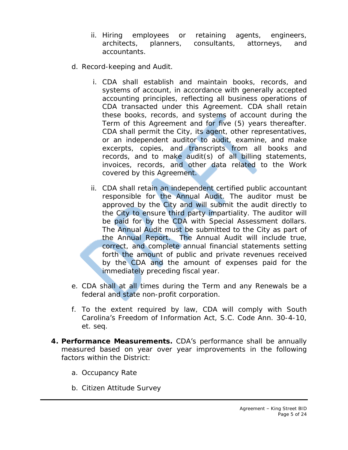- ii. Hiring employees or retaining agents, engineers, architects, planners, consultants, attorneys, and accountants.
- d. Record-keeping and Audit.
	- i. CDA shall establish and maintain books, records, and systems of account, in accordance with generally accepted accounting principles, reflecting all business operations of CDA transacted under this Agreement. CDA shall retain these books, records, and systems of account during the Term of this Agreement and for five (5) years thereafter. CDA shall permit the City, its agent, other representatives, or an independent auditor to audit, examine, and make excerpts, copies, and transcripts from all books and records, and to make audit(s) of all billing statements, invoices, records, and other data related to the Work covered by this Agreement.
	- ii. CDA shall retain an independent certified public accountant responsible for the Annual Audit. The auditor must be approved by the City and will submit the audit directly to the City to ensure third party impartiality. The auditor will be paid for by the CDA with Special Assessment dollars. The Annual Audit must be submitted to the City as part of the Annual Report. The Annual Audit will include true, correct, and complete annual financial statements setting forth the amount of public and private revenues received by the CDA and the amount of expenses paid for the immediately preceding fiscal year.
- e. CDA shall at all times during the Term and any Renewals be a federal and state non-profit corporation.
- f. To the extent required by law, CDA will comply with South Carolina's Freedom of Information Act, S.C. Code Ann. 30-4-10, et. seq.
- **4. Performance Measurements.** CDA's performance shall be annually measured based on year over year improvements in the following factors within the District:
	- a. Occupancy Rate
	- b. Citizen Attitude Survey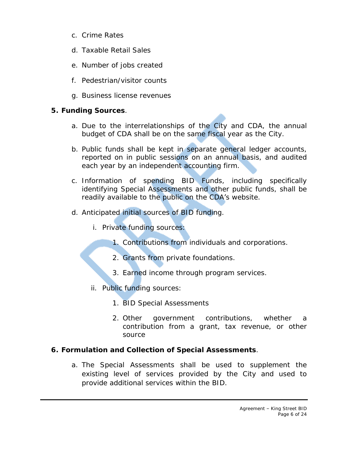- c. Crime Rates
- d. Taxable Retail Sales
- e. Number of jobs created
- f. Pedestrian/visitor counts
- g. Business license revenues

# **5. Funding Sources**.

- a. Due to the interrelationships of the City and CDA, the annual budget of CDA shall be on the same fiscal year as the City.
- b. Public funds shall be kept in separate general ledger accounts, reported on in public sessions on an annual basis, and audited each year by an independent accounting firm.
- c. Information of spending BID Funds, including specifically identifying Special Assessments and other public funds, shall be readily available to the public on the CDA's website.
- d. Anticipated initial sources of BID funding.
	- i. Private funding sources:
		- 1. Contributions from individuals and corporations.
		- 2. Grants from private foundations.
		- 3. Earned income through program services.
	- ii. Public funding sources:
		- 1. BID Special Assessments
		- 2. Other government contributions, whether a contribution from a grant, tax revenue, or other source

# **6. Formulation and Collection of Special Assessments**.

a. The Special Assessments shall be used to supplement the existing level of services provided by the City and used to provide additional services within the BID.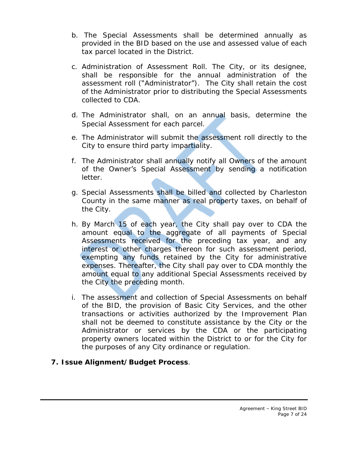- b. The Special Assessments shall be determined annually as provided in the BID based on the use and assessed value of each tax parcel located in the District.
- c. Administration of Assessment Roll. The City, or its designee, shall be responsible for the annual administration of the assessment roll ("Administrator"). The City shall retain the cost of the Administrator prior to distributing the Special Assessments collected to CDA.
- d. The Administrator shall, on an annual basis, determine the Special Assessment for each parcel.
- e. The Administrator will submit the assessment roll directly to the City to ensure third party impartiality.
- f. The Administrator shall annually notify all Owners of the amount of the Owner's Special Assessment by sending a notification letter.
- g. Special Assessments shall be billed and collected by Charleston County in the same manner as real property taxes, on behalf of the City.
- h. By March 15 of each year, the City shall pay over to CDA the amount equal to the aggregate of all payments of Special Assessments received for the preceding tax year, and any interest or other charges thereon for such assessment period, exempting any funds retained by the City for administrative expenses. Thereafter, the City shall pay over to CDA monthly the amount equal to any additional Special Assessments received by the City the preceding month.
- i. The assessment and collection of Special Assessments on behalf of the BID, the provision of Basic City Services, and the other transactions or activities authorized by the Improvement Plan shall not be deemed to constitute assistance by the City or the Administrator or services by the CDA or the participating property owners located within the District to or for the City for the purposes of any City ordinance or regulation.
- **7. Issue Alignment/Budget Process**.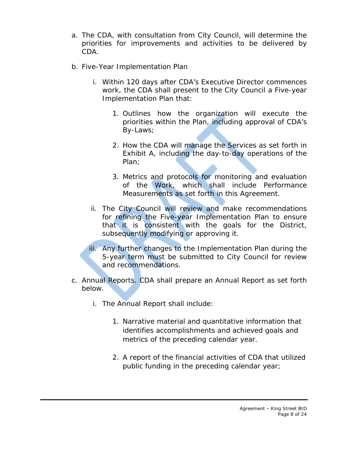- a. The CDA, with consultation from City Council, will determine the priorities for improvements and activities to be delivered by CDA.
- b. Five-Year Implementation Plan
	- i. Within 120 days after CDA's Executive Director commences work, the CDA shall present to the City Council a Five-year Implementation Plan that:
		- 1. Outlines how the organization will execute the priorities within the Plan, including approval of CDA's By-Laws;
		- 2. How the CDA will manage the Services as set forth in Exhibit A, including the day-to-day operations of the Plan;
		- 3. Metrics and protocols for monitoring and evaluation of the Work, which shall include Performance Measurements as set forth in this Agreement.
	- ii. The City Council will review and make recommendations for refining the Five-year Implementation Plan to ensure that it is consistent with the goals for the District, subsequently modifying or approving it.
	- iii. Any further changes to the Implementation Plan during the 5-year term must be submitted to City Council for review and recommendations.
- c. Annual Reports. CDA shall prepare an Annual Report as set forth below.
	- i. The Annual Report shall include:
		- 1. Narrative material and quantitative information that identifies accomplishments and achieved goals and metrics of the preceding calendar year.
		- 2. A report of the financial activities of CDA that utilized public funding in the preceding calendar year;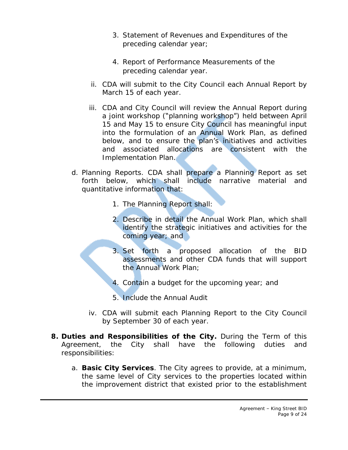- 3. Statement of Revenues and Expenditures of the preceding calendar year;
- 4. Report of Performance Measurements of the preceding calendar year.
- ii. CDA will submit to the City Council each Annual Report by March 15 of each year.
- iii. CDA and City Council will review the Annual Report during a joint workshop ("planning workshop") held between April 15 and May 15 to ensure City Council has meaningful input into the formulation of an Annual Work Plan, as defined below, and to ensure the plan's initiatives and activities and associated allocations are consistent with the Implementation Plan.
- d. Planning Reports. CDA shall prepare a Planning Report as set forth below, which shall include narrative material and quantitative information that:
	- 1. The Planning Report shall:
	- 2. Describe in detail the Annual Work Plan, which shall identify the strategic initiatives and activities for the coming year; and
	- 3. Set forth a proposed allocation of the BID assessments and other CDA funds that will support the Annual Work Plan;
	- 4. Contain a budget for the upcoming year; and
	- 5. Include the Annual Audit
	- iv. CDA will submit each Planning Report to the City Council by September 30 of each year.
- **8. Duties and Responsibilities of the City.** During the Term of this Agreement, the City shall have the following duties and responsibilities:
	- a. **Basic City Services**. The City agrees to provide, at a minimum, the same level of City services to the properties located within the improvement district that existed prior to the establishment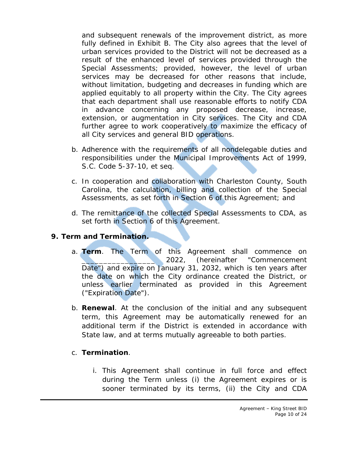and subsequent renewals of the improvement district, as more fully defined in Exhibit B. The City also agrees that the level of urban services provided to the District will not be decreased as a result of the enhanced level of services provided through the Special Assessments; provided, however, the level of urban services may be decreased for other reasons that include, without limitation, budgeting and decreases in funding which are applied equitably to all property within the City. The City agrees that each department shall use reasonable efforts to notify CDA in advance concerning any proposed decrease, increase, extension, or augmentation in City services. The City and CDA further agree to work cooperatively to maximize the efficacy of all City services and general BID operations.

- b. Adherence with the requirements of all nondelegable duties and responsibilities under the Municipal Improvements Act of 1999, S.C. Code 5-37-10, et seq.
- c. In cooperation and collaboration with Charleston County, South Carolina, the calculation, billing and collection of the Special Assessments, as set forth in Section 6 of this Agreement; and
- d. The remittance of the collected Special Assessments to CDA, as set forth in Section 6 of this Agreement.

# **9. Term and Termination.**

- a. **Term**. The Term of this Agreement shall commence on 2022, (hereinafter "Commencement Date") and expire on January 31, 2032, which is ten years after the date on which the City ordinance created the District, or unless earlier terminated as provided in this Agreement ("Expiration Date").
- b. **Renewal**. At the conclusion of the initial and any subsequent term, this Agreement may be automatically renewed for an additional term if the District is extended in accordance with State law, and at terms mutually agreeable to both parties.

# c. **Termination**.

i. This Agreement shall continue in full force and effect during the Term unless (i) the Agreement expires or is sooner terminated by its terms, (ii) the City and CDA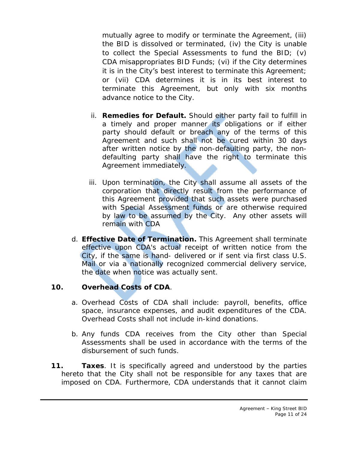mutually agree to modify or terminate the Agreement, (iii) the BID is dissolved or terminated, (iv) the City is unable to collect the Special Assessments to fund the BID; (v) CDA misappropriates BID Funds; (vi) if the City determines it is in the City's best interest to terminate this Agreement; or (vii) CDA determines it is in its best interest to terminate this Agreement, but only with six months advance notice to the City.

- ii. **Remedies for Default.** Should either party fail to fulfill in a timely and proper manner its obligations or if either party should default or breach any of the terms of this Agreement and such shall not be cured within 30 days after written notice by the non-defaulting party, the nondefaulting party shall have the right to terminate this Agreement immediately.
- iii. Upon termination, the City shall assume all assets of the corporation that directly result from the performance of this Agreement provided that such assets were purchased with Special Assessment funds or are otherwise required by law to be assumed by the City. Any other assets will remain with CDA
- d. **Effective Date of Termination.** This Agreement shall terminate effective upon CDA's actual receipt of written notice from the City, if the same is hand- delivered or if sent via first class U.S. Mail or via a nationally recognized commercial delivery service, the date when notice was actually sent.

# **10. Overhead Costs of CDA**.

- a. Overhead Costs of CDA shall include: payroll, benefits, office space, insurance expenses, and audit expenditures of the CDA. Overhead Costs shall not include in-kind donations.
- b. Any funds CDA receives from the City other than Special Assessments shall be used in accordance with the terms of the disbursement of such funds.
- **11. Taxes**. It is specifically agreed and understood by the parties hereto that the City shall not be responsible for any taxes that are imposed on CDA. Furthermore, CDA understands that it cannot claim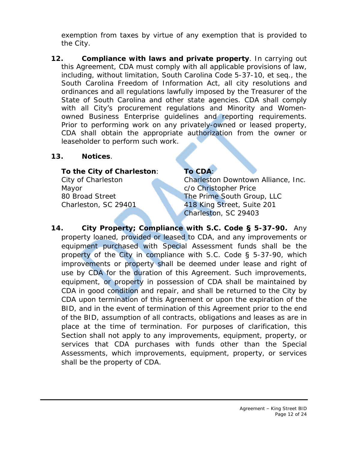exemption from taxes by virtue of any exemption that is provided to the City.

**12. Compliance with laws and private property**. In carrying out this Agreement, CDA must comply with all applicable provisions of law, including, without limitation, South Carolina Code 5-37-10, et seq., the South Carolina Freedom of Information Act, all city resolutions and ordinances and all regulations lawfully imposed by the Treasurer of the State of South Carolina and other state agencies. CDA shall comply with all City's procurement regulations and Minority and Womenowned Business Enterprise guidelines and reporting requirements. Prior to performing work on any privately-owned or leased property, CDA shall obtain the appropriate authorization from the owner or leaseholder to perform such work.

# **13. Notices**.

# **To the City of Charleston**: **To CDA**:

Mayor **Communisties** C/o Christopher Price

City of Charleston Charleston Downtown Alliance, Inc. 80 Broad Street The Prime South Group, LLC Charleston, SC 29401 418 King Street, Suite 201 Charleston, SC 29403

**14. City Property; Compliance with S.C. Code § 5-37-90.** Any property loaned, provided or leased to CDA, and any improvements or equipment purchased with Special Assessment funds shall be the property of the City in compliance with S.C. Code  $\S$  5-37-90, which improvements or property shall be deemed under lease and right of use by CDA for the duration of this Agreement. Such improvements, equipment, or property in possession of CDA shall be maintained by CDA in good condition and repair, and shall be returned to the City by CDA upon termination of this Agreement or upon the expiration of the BID, and in the event of termination of this Agreement prior to the end of the BID, assumption of all contracts, obligations and leases as are in place at the time of termination. For purposes of clarification, this Section shall not apply to any improvements, equipment, property, or services that CDA purchases with funds other than the Special Assessments, which improvements, equipment, property, or services shall be the property of CDA.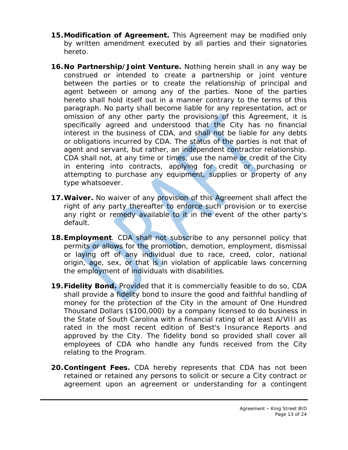- **15.Modification of Agreement.** This Agreement may be modified only by written amendment executed by all parties and their signatories hereto.
- **16.No Partnership/Joint Venture.** Nothing herein shall in any way be construed or intended to create a partnership or joint venture between the parties or to create the relationship of principal and agent between or among any of the parties. None of the parties hereto shall hold itself out in a manner contrary to the terms of this paragraph. No party shall become liable for any representation, act or omission of any other party the provisions of this Agreement, it is specifically agreed and understood that the City has no financial interest in the business of CDA, and shall not be liable for any debts or obligations incurred by CDA. The status of the parties is not that of agent and servant, but rather, an independent contractor relationship. CDA shall not, at any time or times, use the name or credit of the City in entering into contracts, applying for credit or purchasing or attempting to purchase any equipment, supplies or property of any type whatsoever.
- **17.Waiver.** No waiver of any provision of this Agreement shall affect the right of any party thereafter to enforce such provision or to exercise any right or remedy available to it in the event of the other party's default.
- **18.Employment**. CDA shall not subscribe to any personnel policy that permits or allows for the promotion, demotion, employment, dismissal or laying off of any individual due to race, creed, color, national origin, age, sex, or that is in violation of applicable laws concerning the employment of individuals with disabilities.
- **19.Fidelity Bond.** Provided that it is commercially feasible to do so, CDA shall provide a fidelity bond to insure the good and faithful handling of money for the protection of the City in the amount of One Hundred Thousand Dollars (\$100,000) by a company licensed to do business in the State of South Carolina with a financial rating of at least A/VIII as rated in the most recent edition of Best's Insurance Reports and approved by the City. The fidelity bond so provided shall cover all employees of CDA who handle any funds received from the City relating to the Program.
- **20.Contingent Fees.** CDA hereby represents that CDA has not been retained or retained any persons to solicit or secure a City contract or agreement upon an agreement or understanding for a contingent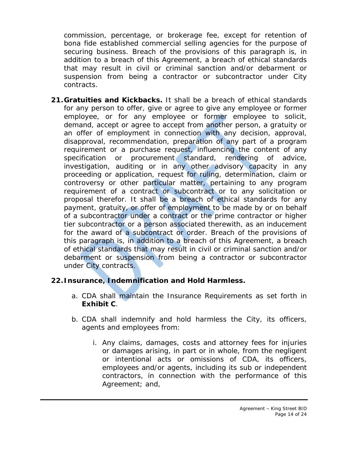commission, percentage, or brokerage fee, except for retention of bona fide established commercial selling agencies for the purpose of securing business. Breach of the provisions of this paragraph is, in addition to a breach of this Agreement, a breach of ethical standards that may result in civil or criminal sanction and/or debarment or suspension from being a contractor or subcontractor under City contracts.

**21.Gratuities and Kickbacks.** It shall be a breach of ethical standards for any person to offer, give or agree to give any employee or former employee, or for any employee or former employee to solicit, demand, accept or agree to accept from another person, a gratuity or an offer of employment in connection with any decision, approval, disapproval, recommendation, preparation of any part of a program requirement or a purchase request, influencing the content of any specification or procurement standard, rendering of advice, investigation, auditing or in any other advisory capacity in any proceeding or application, request for ruling, determination, claim or controversy or other particular matter, pertaining to any program requirement of a contract or subcontract or to any solicitation or proposal therefor. It shall be a breach of ethical standards for any payment, gratuity, or offer of employment to be made by or on behalf of a subcontractor under a contract or the prime contractor or higher tier subcontractor or a person associated therewith, as an inducement for the award of a subcontract or order. Breach of the provisions of this paragraph is, in addition to a breach of this Agreement, a breach of ethical standards that may result in civil or criminal sanction and/or debarment or suspension from being a contractor or subcontractor under City contracts.

# **22.Insurance, Indemnification and Hold Harmless.**

- a. CDA shall maintain the Insurance Requirements as set forth in **Exhibit C**.
- b. CDA shall indemnify and hold harmless the City, its officers, agents and employees from:
	- i. Any claims, damages, costs and attorney fees for injuries or damages arising, in part or in whole, from the negligent or intentional acts or omissions of CDA, its officers, employees and/or agents, including its sub or independent contractors, in connection with the performance of this Agreement; and,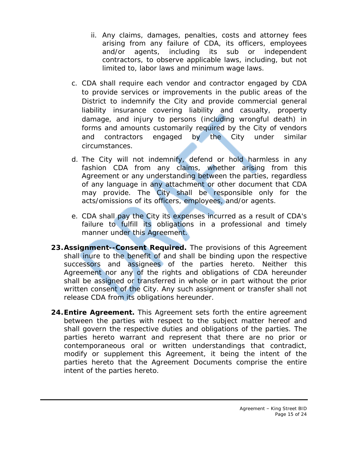- ii. Any claims, damages, penalties, costs and attorney fees arising from any failure of CDA, its officers, employees and/or agents, including its sub or independent contractors, to observe applicable laws, including, but not limited to, labor laws and minimum wage laws.
- c. CDA shall require each vendor and contractor engaged by CDA to provide services or improvements in the public areas of the District to indemnify the City and provide commercial general liability insurance covering liability and casualty, property damage, and injury to persons (including wrongful death) in forms and amounts customarily required by the City of vendors and contractors engaged by the City under similar circumstances.
- d. The City will not indemnify, defend or hold harmless in any fashion CDA from any claims, whether arising from this Agreement or any understanding between the parties, regardless of any language in any attachment or other document that CDA may provide. The City shall be responsible only for the acts/omissions of its officers, employees, and/or agents.
- e. CDA shall pay the City its expenses incurred as a result of CDA's failure to fulfill its obligations in a professional and timely manner under this Agreement.
- **23.Assignment--Consent Required.** The provisions of this Agreement shall inure to the benefit of and shall be binding upon the respective successors and assignees of the parties hereto. Neither this Agreement nor any of the rights and obligations of CDA hereunder shall be assigned or transferred in whole or in part without the prior written consent of the City. Any such assignment or transfer shall not release CDA from its obligations hereunder.
- **24.Entire Agreement.** This Agreement sets forth the entire agreement between the parties with respect to the subject matter hereof and shall govern the respective duties and obligations of the parties. The parties hereto warrant and represent that there are no prior or contemporaneous oral or written understandings that contradict, modify or supplement this Agreement, it being the intent of the parties hereto that the Agreement Documents comprise the entire intent of the parties hereto.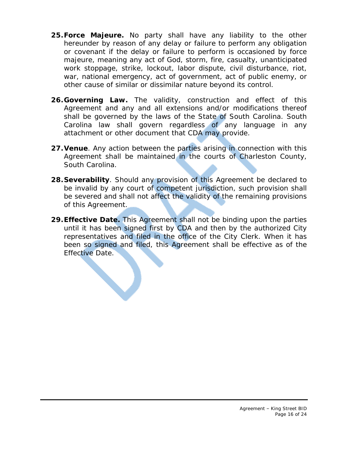- **25.Force Majeure.** No party shall have any liability to the other hereunder by reason of any delay or failure to perform any obligation or covenant if the delay or failure to perform is occasioned by force majeure, meaning any act of God, storm, fire, casualty, unanticipated work stoppage, strike, lockout, labor dispute, civil disturbance, riot, war, national emergency, act of government, act of public enemy, or other cause of similar or dissimilar nature beyond its control.
- **26.Governing Law.** The validity, construction and effect of this Agreement and any and all extensions and/or modifications thereof shall be governed by the laws of the State of South Carolina. South Carolina law shall govern regardless of any language in any attachment or other document that CDA may provide.
- **27.Venue**. Any action between the parties arising in connection with this Agreement shall be maintained in the courts of Charleston County, South Carolina.
- **28.Severability**. Should any provision of this Agreement be declared to be invalid by any court of competent jurisdiction, such provision shall be severed and shall not affect the validity of the remaining provisions of this Agreement.
- **29.Effective Date.** This Agreement shall not be binding upon the parties until it has been signed first by CDA and then by the authorized City representatives and filed in the office of the City Clerk. When it has been so signed and filed, this Agreement shall be effective as of the Effective Date.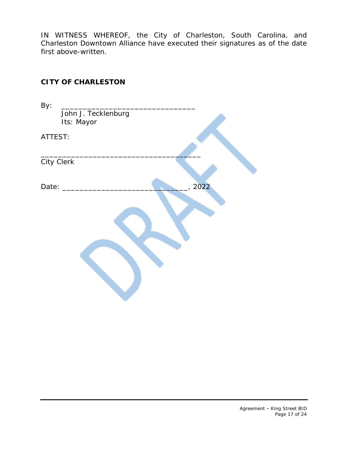IN WITNESS WHEREOF, the City of Charleston, South Carolina, and Charleston Downtown Alliance have executed their signatures as of the date first above-written.

# **CITY OF CHARLESTON**

| By:     |                     |      |
|---------|---------------------|------|
|         | John J. Tecklenburg |      |
|         | Its: Mayor          |      |
| ATTEST: |                     |      |
|         |                     |      |
|         | City Clerk          |      |
| Date:   |                     | 2022 |
|         |                     |      |
|         |                     |      |
|         |                     |      |
|         |                     |      |
|         |                     |      |
|         |                     |      |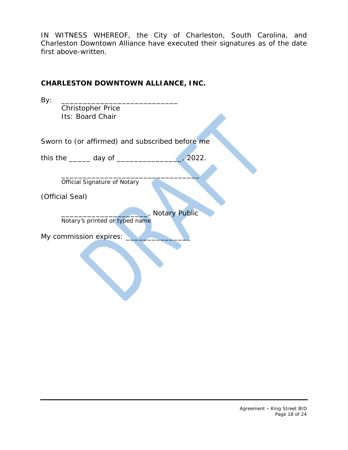IN WITNESS WHEREOF, the City of Charleston, South Carolina, and Charleston Downtown Alliance have executed their signatures as of the date first above-written.

# **CHARLESTON DOWNTOWN ALLIANCE, INC.**

| By:                                                                 |  |  |
|---------------------------------------------------------------------|--|--|
| <b>Christopher Price</b>                                            |  |  |
| Its: Board Chair                                                    |  |  |
|                                                                     |  |  |
| Sworn to (or affirmed) and subscribed before me                     |  |  |
| $\frac{1}{2022}$ .<br>this the $\_\_\_\_$ day of $\_\_\_\_\_\_\_\_$ |  |  |
|                                                                     |  |  |
| <b>Official Signature of Notary</b>                                 |  |  |
| (Official Seal)                                                     |  |  |
| <b>Notary Public</b>                                                |  |  |
| Notary's printed or typed name                                      |  |  |
| My commission expires:                                              |  |  |
|                                                                     |  |  |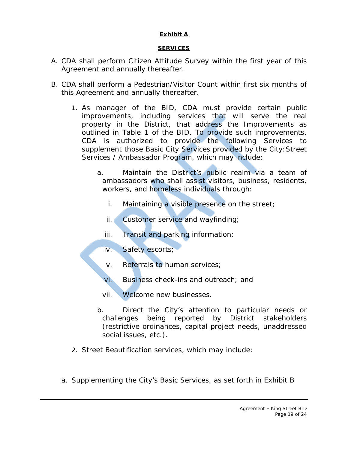# **Exhibit A**

## *SERVICES*

- A. CDA shall perform Citizen Attitude Survey within the first year of this Agreement and annually thereafter.
- B. CDA shall perform a Pedestrian/Visitor Count within first six months of this Agreement and annually thereafter.
	- 1. As manager of the BID, CDA must provide certain public improvements, including services that will serve the real property in the District, that address the Improvements as outlined in Table 1 of the BID. To provide such improvements, CDA is authorized to provide the following Services to supplement those Basic City Services provided by the City: Street Services / Ambassador Program, which may include:
		- a. Maintain the District's public realm via a team of ambassadors who shall assist visitors, business, residents, workers, and homeless individuals through:
			- i. Maintaining a visible presence on the street;
			- ii. Customer service and wayfinding;
			- iii. Transit and parking information;
			- iv. Safety escorts;
			- v. Referrals to human services;
			- vi. Business check-ins and outreach; and
			- vii. Welcome new businesses.
		- b. Direct the City's attention to particular needs or challenges being reported by District stakeholders (restrictive ordinances, capital project needs, unaddressed social issues, etc.).
	- 2. Street Beautification services, which may include:
	- a. Supplementing the City's Basic Services, as set forth in Exhibit B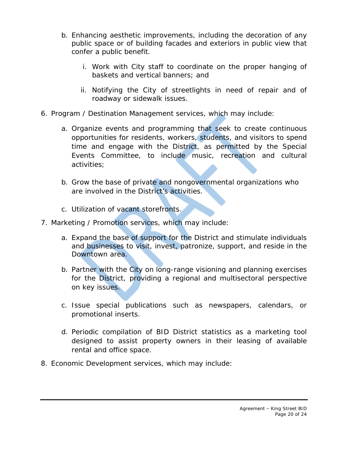- b. Enhancing aesthetic improvements, including the decoration of any public space or of building facades and exteriors in public view that confer a public benefit.
	- i. Work with City staff to coordinate on the proper hanging of baskets and vertical banners; and
	- ii. Notifying the City of streetlights in need of repair and of roadway or sidewalk issues.
- 6. Program / Destination Management services, which may include:
	- a. Organize events and programming that seek to create continuous opportunities for residents, workers, students, and visitors to spend time and engage with the District, as permitted by the Special Events Committee, to include music, recreation and cultural activities;
	- b. Grow the base of private and nongovernmental organizations who are involved in the District's activities.
	- c. Utilization of vacant storefronts.
- 7. Marketing / Promotion services, which may include:
	- a. Expand the base of support for the District and stimulate individuals and businesses to visit, invest, patronize, support, and reside in the Downtown area.
	- b. Partner with the City on long-range visioning and planning exercises for the District, providing a regional and multisectoral perspective on key issues.
	- c. Issue special publications such as newspapers, calendars, or promotional inserts.
	- d. Periodic compilation of BID District statistics as a marketing tool designed to assist property owners in their leasing of available rental and office space.
- 8. Economic Development services, which may include: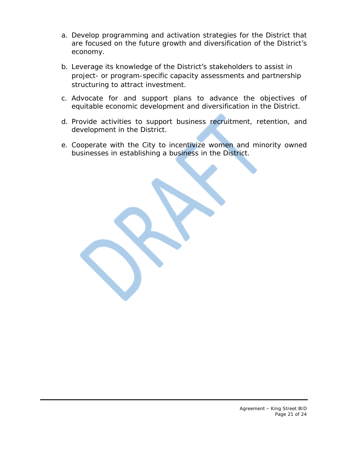- a. Develop programming and activation strategies for the District that are focused on the future growth and diversification of the District's economy.
- b. Leverage its knowledge of the District's stakeholders to assist in project- or program-specific capacity assessments and partnership structuring to attract investment.
- c. Advocate for and support plans to advance the objectives of equitable economic development and diversification in the District.
- d. Provide activities to support business recruitment, retention, and development in the District.
- e. Cooperate with the City to incentivize women and minority owned businesses in establishing a business in the District.

Agreement – King Street BID Page 21 of 24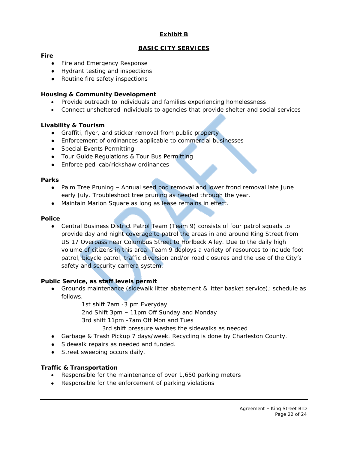# **Exhibit B**

## *BASIC CITY SERVICES*

#### **Fire**

- Fire and Emergency Response
- Hydrant testing and inspections
- Routine fire safety inspections

#### **Housing & Community Development**

- Provide outreach to individuals and families experiencing homelessness
- Connect unsheltered individuals to agencies that provide shelter and social services

#### **Livability & Tourism**

- *●* Graffiti, flyer, and sticker removal from public property
- Enforcement of ordinances applicable to commercial businesses
- Special Events Permitting
- Tour Guide Regulations & Tour Bus Permitting
- Enforce pedi cab/rickshaw ordinances

#### **Parks**

- Palm Tree Pruning Annual seed pod removal and lower frond removal late June early July. Troubleshoot tree pruning as needed through the year.
- Maintain Marion Square as long as lease remains in effect.

#### **Police**

● Central Business District Patrol Team *(Team 9)* consists of four patrol squads to provide day and night coverage to patrol the areas in and around King Street from US 17 Overpass near Columbus Street to Horlbeck Alley. Due to the daily high volume of citizens in this area, Team 9 deploys a variety of resources to include foot patrol, bicycle patrol, traffic diversion and/or road closures and the use of the City's safety and security camera system.

#### **Public Service, as staff levels permit**

- Grounds maintenance (sidewalk litter abatement & litter basket service); schedule as follows.
	- 1st shift 7am -3 pm Everyday
	- 2nd Shift 3pm 11pm Off Sunday and Monday
	- 3rd shift 11pm -7am Off Mon and Tues
		- 3rd shift pressure washes the sidewalks as needed
- Garbage & Trash Pickup 7 days/week. *Recycling is done by Charleston County.*
- *●* Sidewalk repairs as needed and funded.
- *●* Street sweeping occurs daily.

#### **Traffic & Transportation**

- Responsible for the maintenance of over 1,650 parking meters
- Responsible for the enforcement of parking violations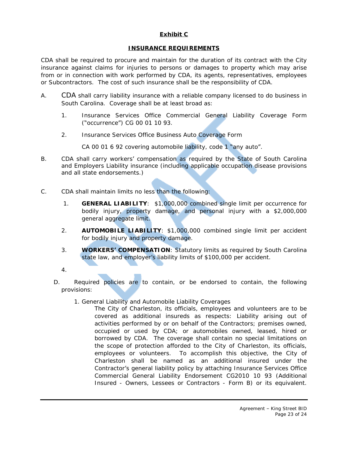## **Exhibit C**

#### *INSURANCE REQUIREMENTS*

CDA shall be required to procure and maintain for the duration of its contract with the City insurance against claims for injuries to persons or damages to property which may arise from or in connection with work performed by CDA, its agents, representatives, employees or Subcontractors. The cost of such insurance shall be the responsibility of CDA.

- A. CDA shall carry liability insurance with a reliable company licensed to do business in South Carolina. Coverage shall be at least broad as:
	- 1. Insurance Services Office Commercial General Liability Coverage Form ("occurrence") CG 00 01 10 93.
	- 2. Insurance Services Office Business Auto Coverage Form

CA 00 01 6 92 covering automobile liability, code 1 "any auto".

- B. CDA shall carry workers' compensation as required by the State of South Carolina and Employers Liability insurance (including applicable occupation disease provisions and all state endorsements.)
- C. CDA shall maintain limits no less than the following:
	- 1. **GENERAL LIABILITY**: \$1,000,000 combined single limit per occurrence for bodily injury, property damage, and personal injury with a \$2,000,000 general aggregate limit.
	- 2. **AUTOMOBILE LIABILITY**: \$1,000,000 combined single limit per accident for bodily injury and property damage.
	- 3. **WORKERS' COMPENSATION**: Statutory limits as required by South Carolina state law, and employer's liability limits of \$100,000 per accident.

4.

- D. Required policies are to contain, or be endorsed to contain, the following provisions:
	- 1. General Liability and Automobile Liability Coverages

The City of Charleston, its officials, employees and volunteers are to be covered as additional insureds as respects: Liability arising out of activities performed by or on behalf of the Contractors; premises owned, occupied or used by CDA; or automobiles owned, leased, hired or borrowed by CDA. The coverage shall contain no special limitations on the scope of protection afforded to the City of Charleston, its officials, employees or volunteers. To accomplish this objective, the City of Charleston shall be named as an additional insured under the Contractor's general liability policy by attaching Insurance Services Office Commercial General Liability Endorsement CG2010 10 93 (Additional Insured - Owners, Lessees or Contractors - Form B) or its equivalent.